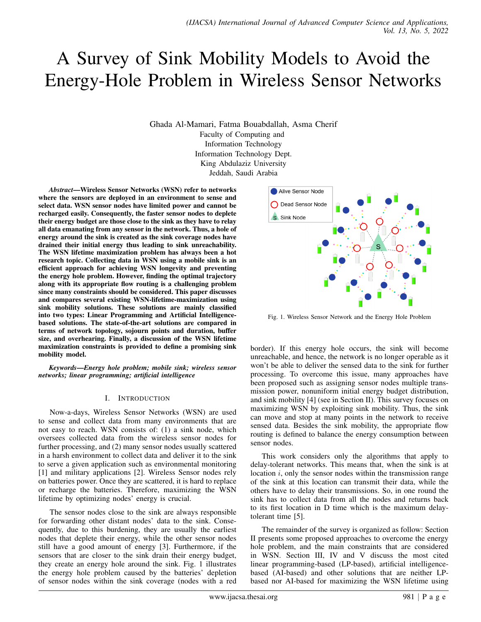# A Survey of Sink Mobility Models to Avoid the Energy-Hole Problem in Wireless Sensor Networks

Ghada Al-Mamari, Fatma Bouabdallah, Asma Cherif Faculty of Computing and Information Technology Information Technology Dept. King Abdulaziz University Jeddah, Saudi Arabia

*Abstract*—Wireless Sensor Networks (WSN) refer to networks where the sensors are deployed in an environment to sense and select data. WSN sensor nodes have limited power and cannot be recharged easily. Consequently, the faster sensor nodes to deplete their energy budget are those close to the sink as they have to relay all data emanating from any sensor in the network. Thus, a hole of energy around the sink is created as the sink coverage nodes have drained their initial energy thus leading to sink unreachability. The WSN lifetime maximization problem has always been a hot research topic. Collecting data in WSN using a mobile sink is an efficient approach for achieving WSN longevity and preventing the energy hole problem. However, finding the optimal trajectory along with its appropriate flow routing is a challenging problem since many constraints should be considered. This paper discusses and compares several existing WSN-lifetime-maximization using sink mobility solutions. These solutions are mainly classified into two types: Linear Programming and Artificial Intelligencebased solutions. The state-of-the-art solutions are compared in terms of network topology, sojourn points and duration, buffer size, and overhearing. Finally, a discussion of the WSN lifetime maximization constraints is provided to define a promising sink mobility model.

*Keywords*—*Energy hole problem; mobile sink; wireless sensor networks; linear programming; artificial intelligence*

### I. INTRODUCTION

Now-a-days, Wireless Sensor Networks (WSN) are used to sense and collect data from many environments that are not easy to reach. WSN consists of: (1) a sink node, which oversees collected data from the wireless sensor nodes for further processing, and (2) many sensor nodes usually scattered in a harsh environment to collect data and deliver it to the sink to serve a given application such as environmental monitoring [1] and military applications [2]. Wireless Sensor nodes rely on batteries power. Once they are scattered, it is hard to replace or recharge the batteries. Therefore, maximizing the WSN lifetime by optimizing nodes' energy is crucial.

The sensor nodes close to the sink are always responsible for forwarding other distant nodes' data to the sink. Consequently, due to this burdening, they are usually the earliest nodes that deplete their energy, while the other sensor nodes still have a good amount of energy [3]. Furthermore, if the sensors that are closer to the sink drain their energy budget, they create an energy hole around the sink. Fig. 1 illustrates the energy hole problem caused by the batteries' depletion of sensor nodes within the sink coverage (nodes with a red



Fig. 1. Wireless Sensor Network and the Energy Hole Problem

border). If this energy hole occurs, the sink will become unreachable, and hence, the network is no longer operable as it won't be able to deliver the sensed data to the sink for further processing. To overcome this issue, many approaches have been proposed such as assigning sensor nodes multiple transmission power, nonuniform initial energy budget distribution, and sink mobility [4] (see in Section II). This survey focuses on maximizing WSN by exploiting sink mobility. Thus, the sink can move and stop at many points in the network to receive sensed data. Besides the sink mobility, the appropriate flow routing is defined to balance the energy consumption between sensor nodes.

This work considers only the algorithms that apply to delay-tolerant networks. This means that, when the sink is at location  $i$ , only the sensor nodes within the transmission range of the sink at this location can transmit their data, while the others have to delay their transmissions. So, in one round the sink has to collect data from all the nodes and returns back to its first location in D time which is the maximum delaytolerant time [5].

The remainder of the survey is organized as follow: Section II presents some proposed approaches to overcome the energy hole problem, and the main constraints that are considered in WSN. Section III, IV and V discuss the most cited linear programming-based (LP-based), artificial intelligencebased (AI-based) and other solutions that are neither LPbased nor AI-based for maximizing the WSN lifetime using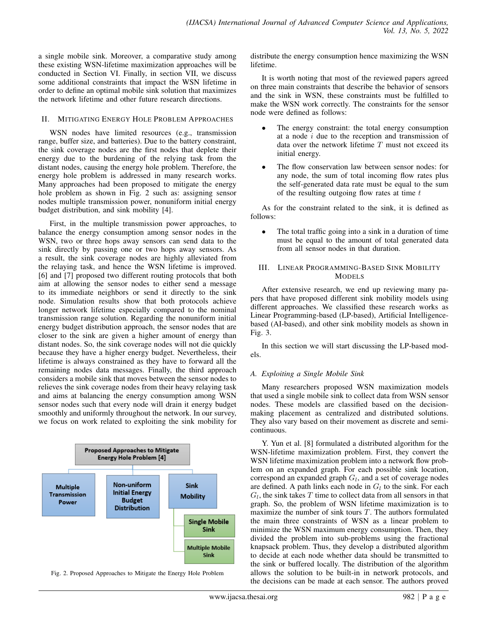a single mobile sink. Moreover, a comparative study among these existing WSN-lifetime maximization approaches will be conducted in Section VI. Finally, in section VII, we discuss some additional constraints that impact the WSN lifetime in order to define an optimal mobile sink solution that maximizes the network lifetime and other future research directions.

### II. MITIGATING ENERGY HOLE PROBLEM APPROACHES

WSN nodes have limited resources (e.g., transmission range, buffer size, and batteries). Due to the battery constraint, the sink coverage nodes are the first nodes that deplete their energy due to the burdening of the relying task from the distant nodes, causing the energy hole problem. Therefore, the energy hole problem is addressed in many research works. Many approaches had been proposed to mitigate the energy hole problem as shown in Fig. 2 such as: assigning sensor nodes multiple transmission power, nonuniform initial energy budget distribution, and sink mobility [4].

First, in the multiple transmission power approaches, to balance the energy consumption among sensor nodes in the WSN, two or three hops away sensors can send data to the sink directly by passing one or two hops away sensors. As a result, the sink coverage nodes are highly alleviated from the relaying task, and hence the WSN lifetime is improved. [6] and [7] proposed two different routing protocols that both aim at allowing the sensor nodes to either send a message to its immediate neighbors or send it directly to the sink node. Simulation results show that both protocols achieve longer network lifetime especially compared to the nominal transmission range solution. Regarding the nonuniform initial energy budget distribution approach, the sensor nodes that are closer to the sink are given a higher amount of energy than distant nodes. So, the sink coverage nodes will not die quickly because they have a higher energy budget. Nevertheless, their lifetime is always constrained as they have to forward all the remaining nodes data messages. Finally, the third approach considers a mobile sink that moves between the sensor nodes to relieves the sink coverage nodes from their heavy relaying task and aims at balancing the energy consumption among WSN sensor nodes such that every node will drain it energy budget smoothly and uniformly throughout the network. In our survey, we focus on work related to exploiting the sink mobility for



Fig. 2. Proposed Approaches to Mitigate the Energy Hole Problem

distribute the energy consumption hence maximizing the WSN lifetime.

It is worth noting that most of the reviewed papers agreed on three main constraints that describe the behavior of sensors and the sink in WSN, these constraints must be fulfilled to make the WSN work correctly. The constraints for the sensor node were defined as follows:

- The energy constraint: the total energy consumption at a node  $i$  due to the reception and transmission of data over the network lifetime  $T$  must not exceed its initial energy.
- The flow conservation law between sensor nodes: for any node, the sum of total incoming flow rates plus the self-generated data rate must be equal to the sum of the resulting outgoing flow rates at time  $t$

As for the constraint related to the sink, it is defined as follows:

The total traffic going into a sink in a duration of time must be equal to the amount of total generated data from all sensor nodes in that duration.

## III. LINEAR PROGRAMMING-BASED SINK MOBILITY **MODELS**

After extensive research, we end up reviewing many papers that have proposed different sink mobility models using different approaches. We classified these research works as Linear Programming-based (LP-based), Artificial Intelligencebased (AI-based), and other sink mobility models as shown in Fig. 3.

In this section we will start discussing the LP-based models.

# *A. Exploiting a Single Mobile Sink*

Many researchers proposed WSN maximization models that used a single mobile sink to collect data from WSN sensor nodes. These models are classified based on the decisionmaking placement as centralized and distributed solutions. They also vary based on their movement as discrete and semicontinuous.

Y. Yun et al. [8] formulated a distributed algorithm for the WSN-lifetime maximization problem. First, they convert the WSN lifetime maximization problem into a network flow problem on an expanded graph. For each possible sink location, correspond an expanded graph  $G_l$ , and a set of coverage nodes are defined. A path links each node in  $G_l$  to the sink. For each  $G_l$ , the sink takes T time to collect data from all sensors in that graph. So, the problem of WSN lifetime maximization is to maximize the number of sink tours  $T$ . The authors formulated the main three constraints of WSN as a linear problem to minimize the WSN maximum energy consumption. Then, they divided the problem into sub-problems using the fractional knapsack problem. Thus, they develop a distributed algorithm to decide at each node whether data should be transmitted to the sink or buffered locally. The distribution of the algorithm allows the solution to be built-in in network protocols, and the decisions can be made at each sensor. The authors proved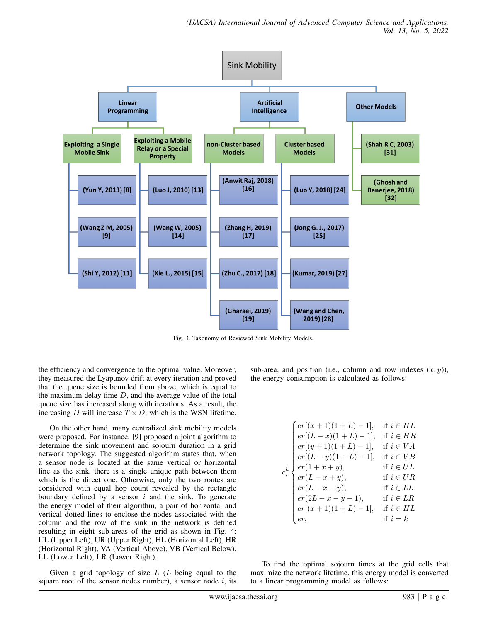

Fig. 3. Taxonomy of Reviewed Sink Mobility Models.

the efficiency and convergence to the optimal value. Moreover, they measured the Lyapunov drift at every iteration and proved that the queue size is bounded from above, which is equal to the maximum delay time  $D$ , and the average value of the total queue size has increased along with iterations. As a result, the increasing D will increase  $T \times D$ , which is the WSN lifetime.

On the other hand, many centralized sink mobility models were proposed. For instance, [9] proposed a joint algorithm to determine the sink movement and sojourn duration in a grid network topology. The suggested algorithm states that, when a sensor node is located at the same vertical or horizontal line as the sink, there is a single unique path between them which is the direct one. Otherwise, only the two routes are considered with equal hop count revealed by the rectangle boundary defined by a sensor  $i$  and the sink. To generate the energy model of their algorithm, a pair of horizontal and vertical dotted lines to enclose the nodes associated with the column and the row of the sink in the network is defined resulting in eight sub-areas of the grid as shown in Fig. 4: UL (Upper Left), UR (Upper Right), HL (Horizontal Left), HR (Horizontal Right), VA (Vertical Above), VB (Vertical Below), LL (Lower Left), LR (Lower Right).

Given a grid topology of size  $L$  ( $L$  being equal to the square root of the sensor nodes number), a sensor node  $i$ , its sub-area, and position (i.e., column and row indexes  $(x, y)$ ), the energy consumption is calculated as follows:

$$
c_i^k \begin{cases} er[(x+1)(1+L)-1], & \text{if } i \in HL \\ er[(L-x)(1+L)-1], & \text{if } i \in HR \\ er[(y+1)(1+L)-1], & \text{if } i \in VA \\ er[(L-y)(1+L)-1], & \text{if } i \in VB \\ er(1+x+y), & \text{if } i \in UL \\ er(L-x+y), & \text{if } i \in UR \\ er(L+x-y), & \text{if } i \in LL \\ er(2L-x-y-1), & \text{if } i \in LR \\ er[(x+1)(1+L)-1], & \text{if } i \in HL \\ er, & \text{if } i = k \end{cases}
$$

To find the optimal sojourn times at the grid cells that maximize the network lifetime, this energy model is converted to a linear programming model as follows: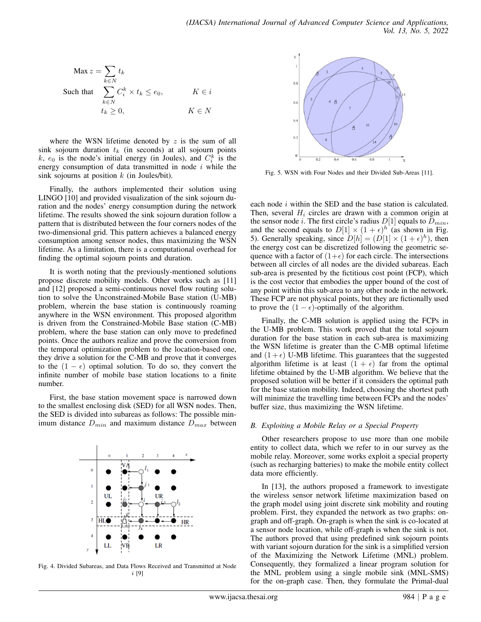$$
\begin{aligned}\n\text{Max } z &= \sum_{k \in N} t_k \\
\text{Such that } \sum_{k \in N} C_i^k \times t_k &\le e_0, \\
& t_k \ge 0, \\
& K \in N\n\end{aligned}
$$

where the WSN lifetime denoted by  $z$  is the sum of all sink sojourn duration  $t_k$  (in seconds) at all sojourn points k,  $e_0$  is the node's initial energy (in Joules), and  $C_i^k$  is the energy consumption of data transmitted in node  $i$  while the sink sojourns at position  $k$  (in Joules/bit).

Finally, the authors implemented their solution using LINGO [10] and provided visualization of the sink sojourn duration and the nodes' energy consumption during the network lifetime. The results showed the sink sojourn duration follow a pattern that is distributed between the four corners nodes of the two-dimensional grid. This pattern achieves a balanced energy consumption among sensor nodes, thus maximizing the WSN lifetime. As a limitation, there is a computational overhead for finding the optimal sojourn points and duration.

It is worth noting that the previously-mentioned solutions propose discrete mobility models. Other works such as [11] and [12] proposed a semi-continuous novel flow routing solution to solve the Unconstrained-Mobile Base station (U-MB) problem, wherein the base station is continuously roaming anywhere in the WSN environment. This proposed algorithm is driven from the Constrained-Mobile Base station (C-MB) problem, where the base station can only move to predefined points. Once the authors realize and prove the conversion from the temporal optimization problem to the location-based one, they drive a solution for the C-MB and prove that it converges to the  $(1 - \epsilon)$  optimal solution. To do so, they convert the infinite number of mobile base station locations to a finite number.

First, the base station movement space is narrowed down to the smallest enclosing disk (SED) for all WSN nodes. Then, the SED is divided into subareas as follows: The possible minimum distance  $D_{min}$  and maximum distance  $D_{max}$  between



Fig. 4. Divided Subareas, and Data Flows Received and Transmitted at Node i [9]



Fig. 5. WSN with Four Nodes and their Divided Sub-Areas [11].

each node *i* within the SED and the base station is calculated. Then, several  $H_i$  circles are drawn with a common origin at the sensor node i. The first circle's radius  $D[1]$  equals to  $D_{min}$ , and the second equals to  $D[1] \times (1+\epsilon)^h$  (as shown in Fig. 5). Generally speaking, since  $D[h] = (D[1] \times (1+\epsilon)^h)$ , then the energy cost can be discretized following the geometric sequence with a factor of  $(1+\epsilon)$  for each circle. The intersections between all circles of all nodes are the divided subareas. Each sub-area is presented by the fictitious cost point (FCP), which is the cost vector that embodies the upper bound of the cost of any point within this sub-area to any other node in the network. These FCP are not physical points, but they are fictionally used to prove the  $(1 - \epsilon)$ -optimally of the algorithm.

Finally, the C-MB solution is applied using the FCPs in the U-MB problem. This work proved that the total sojourn duration for the base station in each sub-area is maximizing the WSN lifetime is greater than the C-MB optimal lifetime and  $(1 + \epsilon)$  U-MB lifetime. This guarantees that the suggested algorithm lifetime is at least  $(1 + \epsilon)$  far from the optimal lifetime obtained by the U-MB algorithm. We believe that the proposed solution will be better if it considers the optimal path for the base station mobility. Indeed, choosing the shortest path will minimize the travelling time between FCPs and the nodes' buffer size, thus maximizing the WSN lifetime.

#### *B. Exploiting a Mobile Relay or a Special Property*

Other researchers propose to use more than one mobile entity to collect data, which we refer to in our survey as the mobile relay. Moreover, some works exploit a special property (such as recharging batteries) to make the mobile entity collect data more efficiently.

In [13], the authors proposed a framework to investigate the wireless sensor network lifetime maximization based on the graph model using joint discrete sink mobility and routing problem. First, they expanded the network as two graphs: ongraph and off-graph. On-graph is when the sink is co-located at a sensor node location, while off-graph is when the sink is not. The authors proved that using predefined sink sojourn points with variant sojourn duration for the sink is a simplified version of the Maximizing the Network Lifetime (MNL) problem. Consequently, they formalized a linear program solution for the MNL problem using a single mobile sink (MNL-SMS) for the on-graph case. Then, they formulate the Primal-dual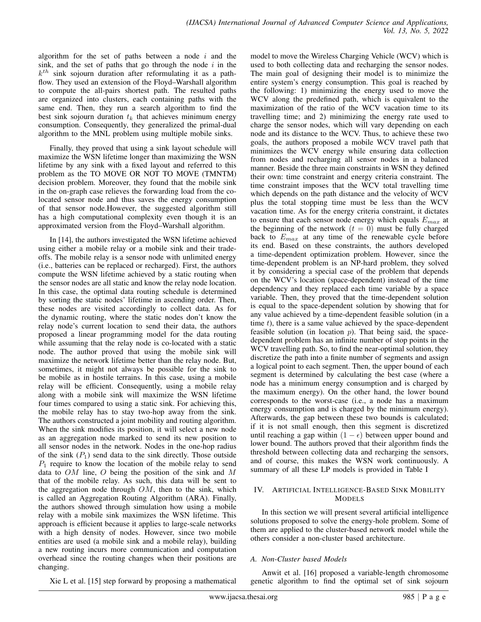algorithm for the set of paths between a node  $i$  and the sink, and the set of paths that go through the node  $i$  in the  $k^{th}$  sink sojourn duration after reformulating it as a pathflow. They used an extension of the Floyd–Warshall algorithm to compute the all-pairs shortest path. The resulted paths are organized into clusters, each containing paths with the same end. Then, they run a search algorithm to find the best sink sojourn duration  $t_k$  that achieves minimum energy consumption. Consequently, they generalized the primal-dual algorithm to the MNL problem using multiple mobile sinks.

Finally, they proved that using a sink layout schedule will maximize the WSN lifetime longer than maximizing the WSN lifetime by any sink with a fixed layout and referred to this problem as the TO MOVE OR NOT TO MOVE (TMNTM) decision problem. Moreover, they found that the mobile sink in the on-graph case relieves the forwarding load from the colocated sensor node and thus saves the energy consumption of that sensor node.However, the suggested algorithm still has a high computational complexity even though it is an approximated version from the Floyd–Warshall algorithm.

In [14], the authors investigated the WSN lifetime achieved using either a mobile relay or a mobile sink and their tradeoffs. The mobile relay is a sensor node with unlimited energy (i.e., batteries can be replaced or recharged). First, the authors compute the WSN lifetime achieved by a static routing when the sensor nodes are all static and know the relay node location. In this case, the optimal data routing schedule is determined by sorting the static nodes' lifetime in ascending order. Then, these nodes are visited accordingly to collect data. As for the dynamic routing, where the static nodes don't know the relay node's current location to send their data, the authors proposed a linear programming model for the data routing while assuming that the relay node is co-located with a static node. The author proved that using the mobile sink will maximize the network lifetime better than the relay node. But, sometimes, it might not always be possible for the sink to be mobile as in hostile terrains. In this case, using a mobile relay will be efficient. Consequently, using a mobile relay along with a mobile sink will maximize the WSN lifetime four times compared to using a static sink. For achieving this, the mobile relay has to stay two-hop away from the sink. The authors constructed a joint mobility and routing algorithm. When the sink modifies its position, it will select a new node as an aggregation node marked to send its new position to all sensor nodes in the network. Nodes in the one-hop radius of the sink  $(P_1)$  send data to the sink directly. Those outside  $P_1$  require to know the location of the mobile relay to send data to OM line, O being the position of the sink and M that of the mobile relay. As such, this data will be sent to the aggregation node through  $OM$ , then to the sink, which is called an Aggregation Routing Algorithm (ARA). Finally, the authors showed through simulation how using a mobile relay with a mobile sink maximizes the WSN lifetime. This approach is efficient because it applies to large-scale networks with a high density of nodes. However, since two mobile entities are used (a mobile sink and a mobile relay), building a new routing incurs more communication and computation overhead since the routing changes when their positions are changing.

model to move the Wireless Charging Vehicle (WCV) which is used to both collecting data and recharging the sensor nodes. The main goal of designing their model is to minimize the entire system's energy consumption. This goal is reached by the following: 1) minimizing the energy used to move the WCV along the predefined path, which is equivalent to the maximization of the ratio of the WCV vacation time to its travelling time; and 2) minimizing the energy rate used to charge the sensor nodes, which will vary depending on each node and its distance to the WCV. Thus, to achieve these two goals, the authors proposed a mobile WCV travel path that minimizes the WCV energy while ensuring data collection from nodes and recharging all sensor nodes in a balanced manner. Beside the three main constraints in WSN they defined their own: time constraint and energy criteria constraint. The time constraint imposes that the WCV total travelling time which depends on the path distance and the velocity of WCV plus the total stopping time must be less than the WCV vacation time. As for the energy criteria constraint, it dictates to ensure that each sensor node energy which equals  $E_{max}$  at the beginning of the network  $(t = 0)$  must be fully charged back to  $E_{max}$  at any time of the renewable cycle before its end. Based on these constraints, the authors developed a time-dependent optimization problem. However, since the time-dependent problem is an NP-hard problem, they solved it by considering a special case of the problem that depends on the WCV's location (space-dependent) instead of the time dependency and they replaced each time variable by a space variable. Then, they proved that the time-dependent solution is equal to the space-dependent solution by showing that for any value achieved by a time-dependent feasible solution (in a time  $t$ ), there is a same value achieved by the space-dependent feasible solution (in location  $p$ ). That being said, the spacedependent problem has an infinite number of stop points in the WCV travelling path. So, to find the near-optimal solution, they discretize the path into a finite number of segments and assign a logical point to each segment. Then, the upper bound of each segment is determined by calculating the best case (where a node has a minimum energy consumption and is charged by the maximum energy). On the other hand, the lower bound corresponds to the worst-case (i.e., a node has a maximum energy consumption and is charged by the minimum energy). Afterwards, the gap between these two bounds is calculated; if it is not small enough, then this segment is discretized until reaching a gap within  $(1 - \epsilon)$  between upper bound and lower bound. The authors proved that their algorithm finds the threshold between collecting data and recharging the sensors, and of course, this makes the WSN work continuously. A summary of all these LP models is provided in Table I

## IV. ARTIFICIAL INTELLIGENCE-BASED SINK MOBILITY MODELS

In this section we will present several artificial intelligence solutions proposed to solve the energy-hole problem. Some of them are applied to the cluster-based network model while the others consider a non-cluster based architecture.

### *A. Non-Cluster based Models*

Anwit et al. [16] proposed a variable-length chromosome genetic algorithm to find the optimal set of sink sojourn

Xie L et al. [15] step forward by proposing a mathematical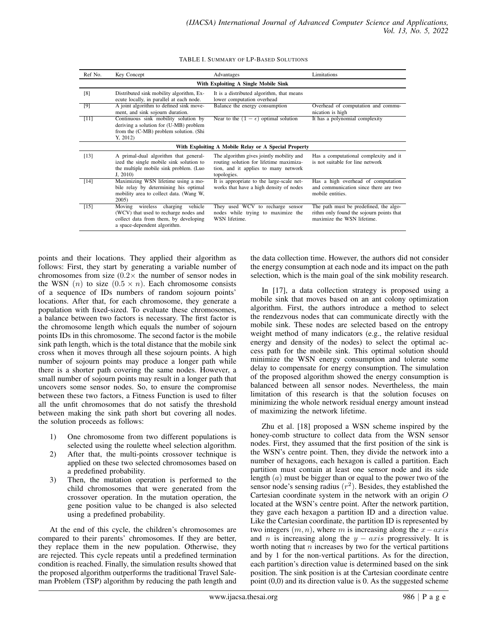| Ref No.                                              | Key Concept                                                                                                                                        | Advantages                                                                                                                                 | Limitations                                                                                                      |  |  |
|------------------------------------------------------|----------------------------------------------------------------------------------------------------------------------------------------------------|--------------------------------------------------------------------------------------------------------------------------------------------|------------------------------------------------------------------------------------------------------------------|--|--|
| With Exploiting A Single Mobile Sink                 |                                                                                                                                                    |                                                                                                                                            |                                                                                                                  |  |  |
| [8]                                                  | Distributed sink mobility algorithm, Ex-<br>ecute locally, in parallel at each node.                                                               | It is a distributed algorithm, that means<br>lower computation overhead                                                                    |                                                                                                                  |  |  |
| [9]                                                  | A joint algorithm to defined sink move-<br>ment, and sink sojourn duration.                                                                        | Balance the energy consumption                                                                                                             | Overhead of computation and commu-<br>nication is high                                                           |  |  |
| [11]                                                 | Continuous sink mobility solution by<br>deriving a solution for (U-MB) problem<br>from the (C-MB) problem solution. (Shi<br>Y, 2012                | Near to the $(1 - \epsilon)$ optimal solution                                                                                              | It has a polynomial complexity                                                                                   |  |  |
| With Exploiting A Mobile Relay or A Special Property |                                                                                                                                                    |                                                                                                                                            |                                                                                                                  |  |  |
| [13]                                                 | A primal-dual algorithm that general-<br>ized the single mobile sink solution to<br>the multiple mobile sink problem. (Luo<br>J, 2010              | The algorithm gives jointly mobility and<br>routing solution for lifetime maximiza-<br>tion, and it applies to many network<br>topologies. | Has a computational complexity and it<br>is not suitable for line network                                        |  |  |
| $[14]$                                               | Maximizing WSN lifetime using a mo-<br>bile relay by determining his optimal<br>mobility area to collect data. (Wang W,<br>2005                    | It is appropriate to the large-scale net-<br>works that have a high density of nodes                                                       | Has a high overhead of computation<br>and communication since there are two<br>mobile entities.                  |  |  |
| $[15]$                                               | Moving wireless charging vehicle<br>(WCV) that used to recharge nodes and<br>collect data from them, by developing<br>a space-dependent algorithm. | They used WCV to recharge sensor<br>nodes while trying to maximize the<br>WSN lifetime.                                                    | The path must be predefined, the algo-<br>rithm only found the sojourn points that<br>maximize the WSN lifetime. |  |  |

| TABLE I. SUMMARY OF LP-BASED SOLUTIONS |  |  |  |
|----------------------------------------|--|--|--|
|----------------------------------------|--|--|--|

points and their locations. They applied their algorithm as follows: First, they start by generating a variable number of chromosomes from size  $(0.2 \times$  the number of sensor nodes in the WSN  $(n)$  to size  $(0.5 \times n)$ . Each chromosome consists of a sequence of IDs numbers of random sojourn points' locations. After that, for each chromosome, they generate a population with fixed-sized. To evaluate these chromosomes, a balance between two factors is necessary. The first factor is the chromosome length which equals the number of sojourn points IDs in this chromosome. The second factor is the mobile sink path length, which is the total distance that the mobile sink cross when it moves through all these sojourn points. A high number of sojourn points may produce a longer path while there is a shorter path covering the same nodes. However, a small number of sojourn points may result in a longer path that uncovers some sensor nodes. So, to ensure the compromise between these two factors, a Fitness Function is used to filter all the unfit chromosomes that do not satisfy the threshold between making the sink path short but covering all nodes. the solution proceeds as follows:

- 1) One chromosome from two different populations is selected using the roulette wheel selection algorithm.
- 2) After that, the multi-points crossover technique is applied on these two selected chromosomes based on a predefined probability.
- 3) Then, the mutation operation is performed to the child chromosomes that were generated from the crossover operation. In the mutation operation, the gene position value to be changed is also selected using a predefined probability.

At the end of this cycle, the children's chromosomes are compared to their parents' chromosomes. If they are better, they replace them in the new population. Otherwise, they are rejected. This cycle repeats until a predefined termination condition is reached. Finally, the simulation results showed that the proposed algorithm outperforms the traditional Travel Saleman Problem (TSP) algorithm by reducing the path length and the data collection time. However, the authors did not consider the energy consumption at each node and its impact on the path selection, which is the main goal of the sink mobility research.

In [17], a data collection strategy is proposed using a mobile sink that moves based on an ant colony optimization algorithm. First, the authors introduce a method to select the rendezvous nodes that can communicate directly with the mobile sink. These nodes are selected based on the entropy weight method of many indicators (e.g., the relative residual energy and density of the nodes) to select the optimal access path for the mobile sink. This optimal solution should minimize the WSN energy consumption and tolerate some delay to compensate for energy consumption. The simulation of the proposed algorithm showed the energy consumption is balanced between all sensor nodes. Nevertheless, the main limitation of this research is that the solution focuses on minimizing the whole network residual energy amount instead of maximizing the network lifetime.

Zhu et al. [18] proposed a WSN scheme inspired by the honey-comb structure to collect data from the WSN sensor nodes. First, they assumed that the first position of the sink is the WSN's centre point. Then, they divide the network into a number of hexagons, each hexagon is called a partition. Each partition must contain at least one sensor node and its side length (a) must be bigger than or equal to the power two of the sensor node's sensing radius  $(r^2)$ . Besides, they established the Cartesian coordinate system in the network with an origin O located at the WSN's centre point. After the network partition, they gave each hexagon a partition ID and a direction value. Like the Cartesian coordinate, the partition ID is represented by two integers  $(m, n)$ , where m is increasing along the  $x - axis$ and *n* is increasing along the  $y - axis$  progressively. It is worth noting that  $n$  increases by two for the vertical partitions and by 1 for the non-vertical partitions. As for the direction, each partition's direction value is determined based on the sink position. The sink position is at the Cartesian coordinate centre point (0,0) and its direction value is 0. As the suggested scheme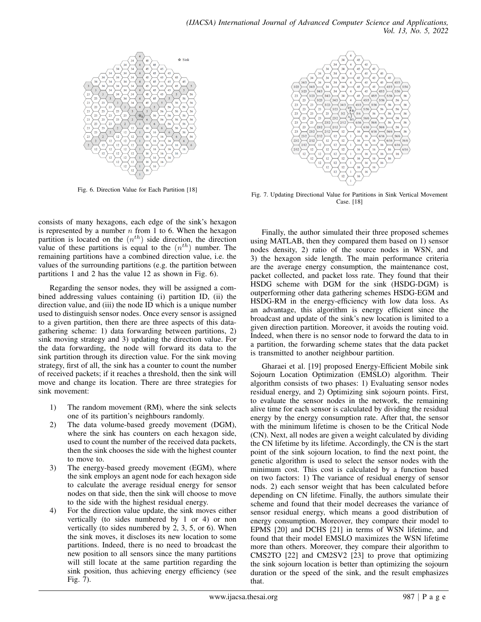

Fig. 6. Direction Value for Each Partition [18]

consists of many hexagons, each edge of the sink's hexagon is represented by a number  $n$  from 1 to 6. When the hexagon partition is located on the  $(n<sup>th</sup>)$  side direction, the direction value of these partitions is equal to the  $(n<sup>th</sup>)$  number. The remaining partitions have a combined direction value, i.e. the values of the surrounding partitions (e.g. the partition between partitions 1 and 2 has the value 12 as shown in Fig. 6).

Regarding the sensor nodes, they will be assigned a combined addressing values containing (i) partition ID, (ii) the direction value, and (iii) the node ID which is a unique number used to distinguish sensor nodes. Once every sensor is assigned to a given partition, then there are three aspects of this datagathering scheme: 1) data forwarding between partitions, 2) sink moving strategy and 3) updating the direction value. For the data forwarding, the node will forward its data to the sink partition through its direction value. For the sink moving strategy, first of all, the sink has a counter to count the number of received packets; if it reaches a threshold, then the sink will move and change its location. There are three strategies for sink movement:

- 1) The random movement (RM), where the sink selects one of its partition's neighbours randomly.
- 2) The data volume-based greedy movement (DGM), where the sink has counters on each hexagon side, used to count the number of the received data packets, then the sink chooses the side with the highest counter to move to.
- 3) The energy-based greedy movement (EGM), where the sink employs an agent node for each hexagon side to calculate the average residual energy for sensor nodes on that side, then the sink will choose to move to the side with the highest residual energy.
- 4) For the direction value update, the sink moves either vertically (to sides numbered by 1 or 4) or non vertically (to sides numbered by 2, 3, 5, or 6). When the sink moves, it discloses its new location to some partitions. Indeed, there is no need to broadcast the new position to all sensors since the many partitions will still locate at the same partition regarding the sink position, thus achieving energy efficiency (see Fig. 7).



Fig. 7. Updating Directional Value for Partitions in Sink Vertical Movement Case. [18]

Finally, the author simulated their three proposed schemes using MATLAB, then they compared them based on 1) sensor nodes density, 2) ratio of the source nodes in WSN, and 3) the hexagon side length. The main performance criteria are the average energy consumption, the maintenance cost, packet collected, and packet loss rate. They found that their HSDG scheme with DGM for the sink (HSDG-DGM) is outperforming other data gathering schemes HSDG-EGM and HSDG-RM in the energy-efficiency with low data loss. As an advantage, this algorithm is energy efficient since the broadcast and update of the sink's new location is limited to a given direction partition. Moreover, it avoids the routing void. Indeed, when there is no sensor node to forward the data to in a partition, the forwarding scheme states that the data packet is transmitted to another neighbour partition.

Gharaei et al. [19] proposed Energy-Efficient Mobile sink Sojourn Location Optimization (EMSLO) algorithm. Their algorithm consists of two phases: 1) Evaluating sensor nodes residual energy, and 2) Optimizing sink sojourn points. First, to evaluate the sensor nodes in the network, the remaining alive time for each sensor is calculated by dividing the residual energy by the energy consumption rate. After that, the sensor with the minimum lifetime is chosen to be the Critical Node (CN). Next, all nodes are given a weight calculated by dividing the CN lifetime by its lifetime. Accordingly, the CN is the start point of the sink sojourn location, to find the next point, the genetic algorithm is used to select the sensor nodes with the minimum cost. This cost is calculated by a function based on two factors: 1) The variance of residual energy of sensor nods. 2) each sensor weight that has been calculated before depending on CN lifetime. Finally, the authors simulate their scheme and found that their model decreases the variance of sensor residual energy, which means a good distribution of energy consumption. Moreover, they compare their model to EPMS [20] and DCHS [21] in terms of WSN lifetime, and found that their model EMSLO maximizes the WSN lifetime more than others. Moreover, they compare their algorithm to CMS2TO [22] and CM2SV2 [23] to prove that optimizing the sink sojourn location is better than optimizing the sojourn duration or the speed of the sink, and the result emphasizes that.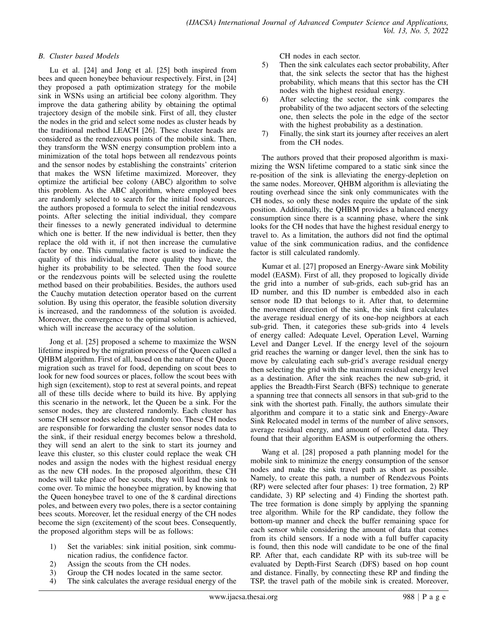## *B. Cluster based Models*

Lu et al. [24] and Jong et al. [25] both inspired from bees and queen honeybee behaviour respectively. First, in [24] they proposed a path optimization strategy for the mobile sink in WSNs using an artificial bee colony algorithm. They improve the data gathering ability by obtaining the optimal trajectory design of the mobile sink. First of all, they cluster the nodes in the grid and select some nodes as cluster heads by the traditional method LEACH [26]. These cluster heads are considered as the rendezvous points of the mobile sink. Then, they transform the WSN energy consumption problem into a minimization of the total hops between all rendezvous points and the sensor nodes by establishing the constraints' criterion that makes the WSN lifetime maximized. Moreover, they optimize the artificial bee colony (ABC) algorithm to solve this problem. As the ABC algorithm, where employed bees are randomly selected to search for the initial food sources, the authors proposed a formula to select the initial rendezvous points. After selecting the initial individual, they compare their finesses to a newly generated individual to determine which one is better. If the new individual is better, then they replace the old with it, if not then increase the cumulative factor by one. This cumulative factor is used to indicate the quality of this individual, the more quality they have, the higher its probability to be selected. Then the food source or the rendezvous points will be selected using the roulette method based on their probabilities. Besides, the authors used the Cauchy mutation detection operator based on the current solution. By using this operator, the feasible solution diversity is increased, and the randomness of the solution is avoided. Moreover, the convergence to the optimal solution is achieved, which will increase the accuracy of the solution.

Jong et al. [25] proposed a scheme to maximize the WSN lifetime inspired by the migration process of the Queen called a QHBM algorithm. First of all, based on the nature of the Queen migration such as travel for food, depending on scout bees to look for new food sources or places, follow the scout bees with high sign (excitement), stop to rest at several points, and repeat all of these tills decide where to build its hive. By applying this scenario in the network, let the Queen be a sink. For the sensor nodes, they are clustered randomly. Each cluster has some CH sensor nodes selected randomly too. These CH nodes are responsible for forwarding the cluster sensor nodes data to the sink, if their residual energy becomes below a threshold, they will send an alert to the sink to start its journey and leave this cluster, so this cluster could replace the weak CH nodes and assign the nodes with the highest residual energy as the new CH nodes. In the proposed algorithm, these CH nodes will take place of bee scouts, they will lead the sink to come over. To mimic the honeybee migration, by knowing that the Queen honeybee travel to one of the 8 cardinal directions poles, and between every two poles, there is a sector containing bees scouts. Moreover, let the residual energy of the CH nodes become the sign (excitement) of the scout bees. Consequently, the proposed algorithm steps will be as follows:

- 1) Set the variables: sink initial position, sink communication radius, the confidence factor.
- 2) Assign the scouts from the CH nodes.
- 3) Group the CH nodes located in the same sector.
- 4) The sink calculates the average residual energy of the

CH nodes in each sector.

- 5) Then the sink calculates each sector probability, After that, the sink selects the sector that has the highest probability, which means that this sector has the CH nodes with the highest residual energy.
- 6) After selecting the sector, the sink compares the probability of the two adjacent sectors of the selecting one, then selects the pole in the edge of the sector with the highest probability as a destination.
- 7) Finally, the sink start its journey after receives an alert from the CH nodes.

The authors proved that their proposed algorithm is maximizing the WSN lifetime compared to a static sink since the re-position of the sink is alleviating the energy-depletion on the same nodes. Moreover, QHBM algorithm is alleviating the routing overhead since the sink only communicates with the CH nodes, so only these nodes require the update of the sink position. Additionally, the QHBM provides a balanced energy consumption since there is a scanning phase, where the sink looks for the CH nodes that have the highest residual energy to travel to. As a limitation, the authors did not find the optimal value of the sink communication radius, and the confidence factor is still calculated randomly.

Kumar et al. [27] proposed an Energy-Aware sink Mobility model (EASM). First of all, they proposed to logically divide the grid into a number of sub-grids, each sub-grid has an ID number, and this ID number is embedded also in each sensor node ID that belongs to it. After that, to determine the movement direction of the sink, the sink first calculates the average residual energy of its one-hop neighbors at each sub-grid. Then, it categories these sub-grids into 4 levels of energy called: Adequate Level, Operation Level, Warning Level and Danger Level. If the energy level of the sojourn grid reaches the warning or danger level, then the sink has to move by calculating each sub-grid's average residual energy then selecting the grid with the maximum residual energy level as a destination. After the sink reaches the new sub-grid, it applies the Breadth-First Search (BFS) technique to generate a spanning tree that connects all sensors in that sub-grid to the sink with the shortest path. Finally, the authors simulate their algorithm and compare it to a static sink and Energy-Aware Sink Relocated model in terms of the number of alive sensors, average residual energy, and amount of collected data. They found that their algorithm EASM is outperforming the others.

Wang et al. [28] proposed a path planning model for the mobile sink to minimize the energy consumption of the sensor nodes and make the sink travel path as short as possible. Namely, to create this path, a number of Rendezvous Points (RP) were selected after four phases: 1) tree formation, 2) RP candidate, 3) RP selecting and 4) Finding the shortest path. The tree formation is done simply by applying the spanning tree algorithm. While for the RP candidate, they follow the bottom-up manner and check the buffer remaining space for each sensor while considering the amount of data that comes from its child sensors. If a node with a full buffer capacity is found, then this node will candidate to be one of the final RP. After that, each candidate RP with its sub-tree will be evaluated by Depth-First Search (DFS) based on hop count and distance. Finally, by connecting these RP and finding the TSP, the travel path of the mobile sink is created. Moreover,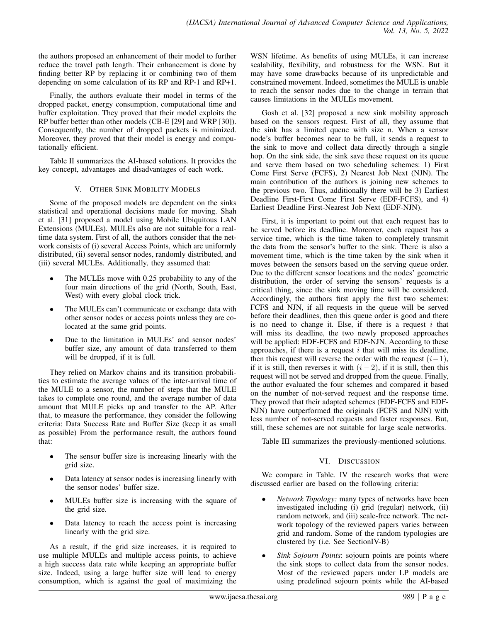the authors proposed an enhancement of their model to further reduce the travel path length. Their enhancement is done by finding better RP by replacing it or combining two of them depending on some calculation of its RP and RP-1 and RP+1.

Finally, the authors evaluate their model in terms of the dropped packet, energy consumption, computational time and buffer exploitation. They proved that their model exploits the RP buffer better than other models (CB-E [29] and WRP [30]). Consequently, the number of dropped packets is minimized. Moreover, they proved that their model is energy and computationally efficient.

Table II summarizes the AI-based solutions. It provides the key concept, advantages and disadvantages of each work.

# V. OTHER SINK MOBILITY MODELS

Some of the proposed models are dependent on the sinks statistical and operational decisions made for moving. Shah et al. [31] proposed a model using Mobile Ubiquitous LAN Extensions (MULEs). MULEs also are not suitable for a realtime data system. First of all, the authors consider that the network consists of (i) several Access Points, which are uniformly distributed, (ii) several sensor nodes, randomly distributed, and (iii) several MULEs. Additionally, they assumed that:

- The MULEs move with 0.25 probability to any of the four main directions of the grid (North, South, East, West) with every global clock trick.
- The MULEs can't communicate or exchange data with other sensor nodes or access points unless they are colocated at the same grid points.
- Due to the limitation in MULEs' and sensor nodes' buffer size, any amount of data transferred to them will be dropped, if it is full.

They relied on Markov chains and its transition probabilities to estimate the average values of the inter-arrival time of the MULE to a sensor, the number of steps that the MULE takes to complete one round, and the average number of data amount that MULE picks up and transfer to the AP. After that, to measure the performance, they consider the following criteria: Data Success Rate and Buffer Size (keep it as small as possible) From the performance result, the authors found that:

- The sensor buffer size is increasing linearly with the grid size.
- Data latency at sensor nodes is increasing linearly with the sensor nodes' buffer size.
- MULEs buffer size is increasing with the square of the grid size.
- Data latency to reach the access point is increasing linearly with the grid size.

As a result, if the grid size increases, it is required to use multiple MULEs and multiple access points, to achieve a high success data rate while keeping an appropriate buffer size. Indeed, using a large buffer size will lead to energy consumption, which is against the goal of maximizing the WSN lifetime. As benefits of using MULEs, it can increase scalability, flexibility, and robustness for the WSN. But it may have some drawbacks because of its unpredictable and constrained movement. Indeed, sometimes the MULE is unable to reach the sensor nodes due to the change in terrain that causes limitations in the MULEs movement.

Gosh et al. [32] proposed a new sink mobility approach based on the sensors request. First of all, they assume that the sink has a limited queue with size n. When a sensor node's buffer becomes near to be full, it sends a request to the sink to move and collect data directly through a single hop. On the sink side, the sink save these request on its queue and serve them based on two scheduling schemes: 1) First Come First Serve (FCFS), 2) Nearest Job Next (NJN). The main contribution of the authors is joining new schemes to the previous two. Thus, additionally there will be 3) Earliest Deadline First-First Come First Serve (EDF-FCFS), and 4) Earliest Deadline First-Nearest Job Next (EDF-NJN).

First, it is important to point out that each request has to be served before its deadline. Moreover, each request has a service time, which is the time taken to completely transmit the data from the sensor's buffer to the sink. There is also a movement time, which is the time taken by the sink when it moves between the sensors based on the serving queue order. Due to the different sensor locations and the nodes' geometric distribution, the order of serving the sensors' requests is a critical thing, since the sink moving time will be considered. Accordingly, the authors first apply the first two schemes: FCFS and NJN, if all requests in the queue will be served before their deadlines, then this queue order is good and there is no need to change it. Else, if there is a request  $i$  that will miss its deadline, the two newly proposed approaches will be applied: EDF-FCFS and EDF-NJN. According to these approaches, if there is a request  $i$  that will miss its deadline, then this request will reverse the order with the request  $(i-1)$ , if it is still, then reverses it with  $(i - 2)$ , if it is still, then this request will not be served and dropped from the queue. Finally, the author evaluated the four schemes and compared it based on the number of not-served request and the response time. They proved that their adapted schemes (EDF-FCFS and EDF-NJN) have outperformed the originals (FCFS and NJN) with less number of not-served requests and faster responses. But, still, these schemes are not suitable for large scale networks.

Table III summarizes the previously-mentioned solutions.

# VI. DISCUSSION

We compare in Table. IV the research works that were discussed earlier are based on the following criteria:

- *Network Topology:* many types of networks have been investigated including (i) grid (regular) network, (ii) random network, and (iii) scale-free network. The network topology of the reviewed papers varies between grid and random. Some of the random typologies are clustered by (i.e. See SectionIV-B)
- *Sink Sojourn Points*: sojourn points are points where the sink stops to collect data from the sensor nodes. Most of the reviewed papers under LP models are using predefined sojourn points while the AI-based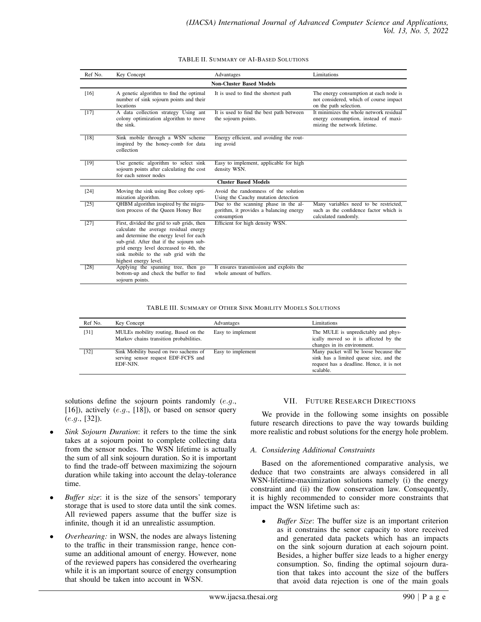#### TABLE II. SUMMARY OF AI-BASED SOLUTIONS

| Ref No.                         | Key Concept                                                                                                                                                                                                                                                                            | Advantages                                                                                     | Limitations                                                                                                     |  |  |
|---------------------------------|----------------------------------------------------------------------------------------------------------------------------------------------------------------------------------------------------------------------------------------------------------------------------------------|------------------------------------------------------------------------------------------------|-----------------------------------------------------------------------------------------------------------------|--|--|
| <b>Non-Cluster Based Models</b> |                                                                                                                                                                                                                                                                                        |                                                                                                |                                                                                                                 |  |  |
| [16]                            | A genetic algorithm to find the optimal<br>number of sink sojourn points and their<br>locations                                                                                                                                                                                        | It is used to find the shortest path                                                           | The energy consumption at each node is<br>not considered, which of course impact<br>on the path selection.      |  |  |
| [17]                            | A data collection strategy Using ant<br>colony optimization algorithm to move<br>the sink.                                                                                                                                                                                             | It is used to find the best path between<br>the sojourn points.                                | It minimizes the whole network residual<br>energy consumption, instead of maxi-<br>mizing the network lifetime. |  |  |
| [18]                            | Sink mobile through a WSN scheme<br>inspired by the honey-comb for data<br>collection                                                                                                                                                                                                  | Energy efficient, and avoiding the rout-<br>ing avoid                                          |                                                                                                                 |  |  |
| [19]                            | Use genetic algorithm to select sink<br>sojourn points after calculating the cost<br>for each sensor nodes                                                                                                                                                                             | Easy to implement, applicable for high<br>density WSN.                                         |                                                                                                                 |  |  |
|                                 |                                                                                                                                                                                                                                                                                        | <b>Cluster Based Models</b>                                                                    |                                                                                                                 |  |  |
| $[24]$                          | Moving the sink using Bee colony opti-<br>mization algorithm.                                                                                                                                                                                                                          | Avoid the randomness of the solution<br>Using the Cauchy mutation detection                    |                                                                                                                 |  |  |
| [25]                            | OHBM algorithm inspired by the migra-<br>tion process of the Queen Honey Bee                                                                                                                                                                                                           | Due to the scanning phase in the al-<br>gorithm, it provides a balancing energy<br>consumption | Many variables need to be restricted,<br>such as the confidence factor which is<br>calculated randomly.         |  |  |
| $[27]$                          | First, divided the grid to sub grids, then<br>calculate the average residual energy<br>and determine the energy level for each<br>sub-grid. After that if the sojourn sub-<br>grid energy level decreased to 4th, the<br>sink mobile to the sub grid with the<br>highest energy level. | Efficient for high density WSN.                                                                |                                                                                                                 |  |  |
| [28]                            | Applying the spanning tree, then go<br>bottom-up and check the buffer to find<br>sojourn points.                                                                                                                                                                                       | It ensures transmission and exploits the<br>whole amount of buffers.                           |                                                                                                                 |  |  |

TABLE III. SUMMARY OF OTHER SINK MOBILITY MODELS SOLUTIONS

| Ref No. | Key Concept                                                                              | Advantages        | Limitations                                                                                                                              |
|---------|------------------------------------------------------------------------------------------|-------------------|------------------------------------------------------------------------------------------------------------------------------------------|
| [31]    | MULEs mobility routing, Based on the<br>Markov chains transition probabilities.          | Easy to implement | The MULE is unpredictably and phys-<br>ically moved so it is affected by the<br>changes in its environment.                              |
| $[32]$  | Sink Mobility based on two sachems of<br>serving sensor request EDF-FCFS and<br>EDF-NIN. | Easy to implement | Many packet will be loose because the<br>sink has a limited queue size, and the<br>request has a deadline. Hence, it is not<br>scalable. |

solutions define the sojourn points randomly (e.g., [16]), actively  $(e.g., [18])$ , or based on sensor query (e.g., [32]).

- *Sink Sojourn Duration*: it refers to the time the sink takes at a sojourn point to complete collecting data from the sensor nodes. The WSN lifetime is actually the sum of all sink sojourn duration. So it is important to find the trade-off between maximizing the sojourn duration while taking into account the delay-tolerance time.
- *Buffer size*: it is the size of the sensors' temporary storage that is used to store data until the sink comes. All reviewed papers assume that the buffer size is infinite, though it id an unrealistic assumption.
- *Overhearing:* in WSN, the nodes are always listening to the traffic in their transmission range, hence consume an additional amount of energy. However, none of the reviewed papers has considered the overhearing while it is an important source of energy consumption that should be taken into account in WSN.

### VII. FUTURE RESEARCH DIRECTIONS

We provide in the following some insights on possible future research directions to pave the way towards building more realistic and robust solutions for the energy hole problem.

#### *A. Considering Additional Constraints*

Based on the aforementioned comparative analysis, we deduce that two constraints are always considered in all WSN-lifetime-maximization solutions namely (i) the energy constraint and (ii) the flow conservation law. Consequently, it is highly recommended to consider more constraints that impact the WSN lifetime such as:

• *Buffer Size*: The buffer size is an important criterion as it constrains the senor capacity to store received and generated data packets which has an impacts on the sink sojourn duration at each sojourn point. Besides, a higher buffer size leads to a higher energy consumption. So, finding the optimal sojourn duration that takes into account the size of the buffers that avoid data rejection is one of the main goals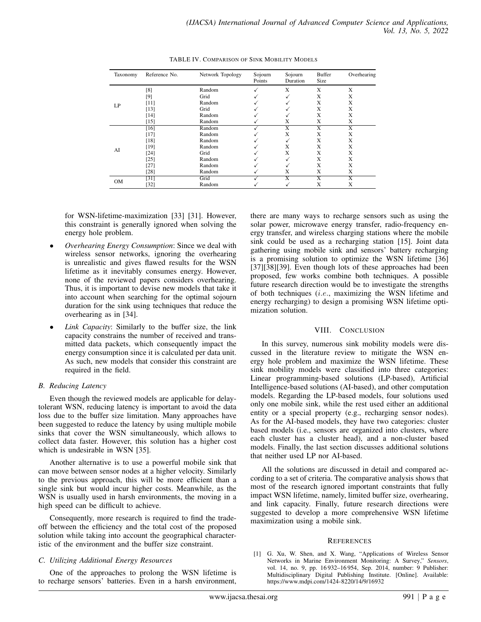| Taxonomy  | Reference No.   | Network Topology | Sojourn<br>Points | Sojourn<br>Duration   | <b>Buffer</b><br><b>Size</b> | Overhearing             |
|-----------|-----------------|------------------|-------------------|-----------------------|------------------------------|-------------------------|
|           | [8]             | Random           |                   | X                     | X                            | X                       |
|           | [9]             | Grid             | ✓                 |                       | Х                            | Х                       |
|           | [11]            | Random           |                   |                       | Х                            | Х                       |
| LP        | $[13]$          | Grid             | √                 |                       | X                            | X                       |
|           | $[14]$          | Random           |                   |                       | X                            | X                       |
|           | $[15]$          | Random           |                   | X                     | X                            | X                       |
|           | $[16]$          | Random           |                   | X                     | $\overline{\mathbf{X}}$      | X                       |
|           | $[17]$          | Random           |                   | X                     | X                            | X                       |
|           | $[18]$          | Random           |                   |                       | X                            | X                       |
|           | [19]            | Random           |                   | X                     | X                            | X                       |
| AI        | $[24]$          | Grid             |                   | X                     | X                            | X                       |
|           | $[25]$          | Random           | √                 |                       | X                            | X                       |
|           | $[27]$          | Random           |                   |                       | X                            | X                       |
|           | [28]            | Random           |                   | Х                     | X                            | X                       |
| <b>OM</b> | $\overline{31}$ | Grid             |                   | $\overline{\text{X}}$ | $\overline{\text{X}}$        | $\overline{\mathbf{X}}$ |
|           | $[32]$          | Random           |                   |                       | Х                            | Х                       |

TABLE IV. COMPARISON OF SINK MOBILITY MODELS

for WSN-lifetime-maximization [33] [31]. However, this constraint is generally ignored when solving the energy hole problem.

- *Overhearing Energy Consumption*: Since we deal with wireless sensor networks, ignoring the overhearing is unrealistic and gives flawed results for the WSN lifetime as it inevitably consumes energy. However, none of the reviewed papers considers overhearing. Thus, it is important to devise new models that take it into account when searching for the optimal sojourn duration for the sink using techniques that reduce the overhearing as in [34].
- *Link Capacity*: Similarly to the buffer size, the link capacity constrains the number of received and transmitted data packets, which consequently impact the energy consumption since it is calculated per data unit. As such, new models that consider this constraint are required in the field.

### *B. Reducing Latency*

Even though the reviewed models are applicable for delaytolerant WSN, reducing latency is important to avoid the data loss due to the buffer size limitation. Many approaches have been suggested to reduce the latency by using multiple mobile sinks that cover the WSN simultaneously, which allows to collect data faster. However, this solution has a higher cost which is undesirable in WSN [35].

Another alternative is to use a powerful mobile sink that can move between sensor nodes at a higher velocity. Similarly to the previous approach, this will be more efficient than a single sink but would incur higher costs. Meanwhile, as the WSN is usually used in harsh environments, the moving in a high speed can be difficult to achieve.

Consequently, more research is required to find the tradeoff between the efficiency and the total cost of the proposed solution while taking into account the geographical characteristic of the environment and the buffer size constraint.

# *C. Utilizing Additional Energy Resources*

One of the approaches to prolong the WSN lifetime is to recharge sensors' batteries. Even in a harsh environment, there are many ways to recharge sensors such as using the solar power, microwave energy transfer, radio-frequency energy transfer, and wireless charging stations where the mobile sink could be used as a recharging station [15]. Joint data gathering using mobile sink and sensors' battery recharging is a promising solution to optimize the WSN lifetime [36] [37][38][39]. Even though lots of these approaches had been proposed, few works combine both techniques. A possible future research direction would be to investigate the strengths of both techniques (i.e., maximizing the WSN lifetime and energy recharging) to design a promising WSN lifetime optimization solution.

# VIII. CONCLUSION

In this survey, numerous sink mobility models were discussed in the literature review to mitigate the WSN energy hole problem and maximize the WSN lifetime. These sink mobility models were classified into three categories: Linear programming-based solutions (LP-based), Artificial Intelligence-based solutions (AI-based), and other computation models. Regarding the LP-based models, four solutions used only one mobile sink, while the rest used either an additional entity or a special property (e.g., recharging sensor nodes). As for the AI-based models, they have two categories: cluster based models (i.e., sensors are organized into clusters, where each cluster has a cluster head), and a non-cluster based models. Finally, the last section discusses additional solutions that neither used LP nor AI-based.

All the solutions are discussed in detail and compared according to a set of criteria. The comparative analysis shows that most of the research ignored important constraints that fully impact WSN lifetime, namely, limited buffer size, overhearing, and link capacity. Finally, future research directions were suggested to develop a more comprehensive WSN lifetime maximization using a mobile sink.

#### **REFERENCES**

[1] G. Xu, W. Shen, and X. Wang, "Applications of Wireless Sensor Networks in Marine Environment Monitoring: A Survey," *Sensors*, vol. 14, no. 9, pp. 16 932–16 954, Sep. 2014, number: 9 Publisher: Multidisciplinary Digital Publishing Institute. [Online]. Available: https://www.mdpi.com/1424-8220/14/9/16932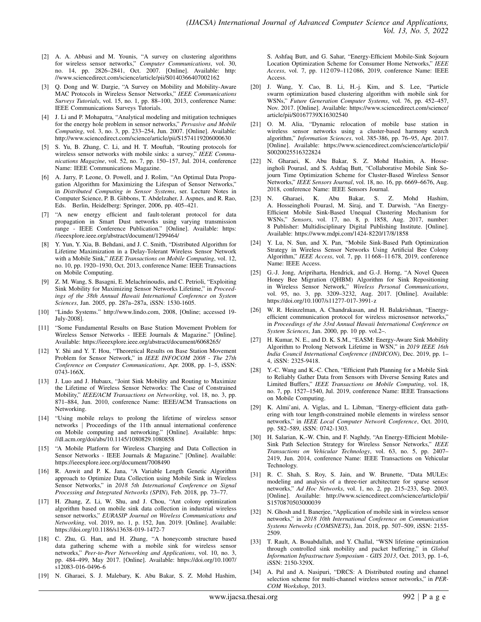- [2] A. A. Abbasi and M. Younis, "A survey on clustering algorithms for wireless sensor networks," *Computer Communications*, vol. 30, no. 14, pp. 2826–2841, Oct. 2007. [Online]. Available: http: //www.sciencedirect.com/science/article/pii/S0140366407002162
- [3] Q. Dong and W. Dargie, "A Survey on Mobility and Mobility-Aware MAC Protocols in Wireless Sensor Networks," *IEEE Communications Surveys Tutorials*, vol. 15, no. 1, pp. 88–100, 2013, conference Name: IEEE Communications Surveys Tutorials.
- [4] J. Li and P. Mohapatra, "Analytical modeling and mitigation techniques for the energy hole problem in sensor networks," *Pervasive and Mobile Computing*, vol. 3, no. 3, pp. 233–254, Jun. 2007. [Online]. Available: http://www.sciencedirect.com/science/article/pii/S1574119206000630
- [5] S. Yu, B. Zhang, C. Li, and H. T. Mouftah, "Routing protocols for wireless sensor networks with mobile sinks: a survey," *IEEE Communications Magazine*, vol. 52, no. 7, pp. 150–157, Jul. 2014, conference Name: IEEE Communications Magazine.
- [6] A. Jarry, P. Leone, O. Powell, and J. Rolim, "An Optimal Data Propagation Algorithm for Maximizing the Lifespan of Sensor Networks," in *Distributed Computing in Sensor Systems*, ser. Lecture Notes in Computer Science, P. B. Gibbons, T. Abdelzaher, J. Aspnes, and R. Rao, Eds. Berlin, Heidelberg: Springer, 2006, pp. 405–421.
- [7] "A new energy efficient and fault-tolerant protocol for data propagation in Smart Dust networks using varying transmission range - IEEE Conference Publication." [Online]. Available: https: //ieeexplore.ieee.org/abstract/document/1299464/
- [8] Y. Yun, Y. Xia, B. Behdani, and J. C. Smith, "Distributed Algorithm for Lifetime Maximization in a Delay-Tolerant Wireless Sensor Network with a Mobile Sink," *IEEE Transactions on Mobile Computing*, vol. 12, no. 10, pp. 1920–1930, Oct. 2013, conference Name: IEEE Transactions on Mobile Computing.
- [9] Z. M. Wang, S. Basagni, E. Melachrinoudis, and C. Petrioli, "Exploiting Sink Mobility for Maximizing Sensor Networks Lifetime," in *Proceedings of the 38th Annual Hawaii International Conference on System Sciences*, Jan. 2005, pp. 287a–287a, iSSN: 1530-1605.
- [10] "Lindo Systems." http://www.lindo.com, 2008, [Online; accessed 19- July-2008].
- [11] "Some Fundamental Results on Base Station Movement Problem for Wireless Sensor Networks - IEEE Journals & Magazine." [Online]. Available: https://ieeexplore.ieee.org/abstract/document/6068265/
- [12] Y. Shi and Y. T. Hou, "Theoretical Results on Base Station Movement Problem for Sensor Network," in *IEEE INFOCOM 2008 - The 27th Conference on Computer Communications*, Apr. 2008, pp. 1–5, iSSN: 0743-166X.
- [13] J. Luo and J. Hubaux, "Joint Sink Mobility and Routing to Maximize the Lifetime of Wireless Sensor Networks: The Case of Constrained Mobility," *IEEE/ACM Transactions on Networking*, vol. 18, no. 3, pp. 871–884, Jun. 2010, conference Name: IEEE/ACM Transactions on Networking.
- [14] "Using mobile relays to prolong the lifetime of wireless sensor networks | Proceedings of the 11th annual international conference on Mobile computing and networking." [Online]. Available: https: //dl.acm.org/doi/abs/10.1145/1080829.1080858
- [15] "A Mobile Platform for Wireless Charging and Data Collection in Sensor Networks - IEEE Journals & Magazine." [Online]. Available: https://ieeexplore.ieee.org/document/7008490
- [16] R. Anwit and P. K. Jana, "A Variable Length Genetic Algorithm approach to Optimize Data Collection using Mobile Sink in Wireless Sensor Networks," in *2018 5th International Conference on Signal Processing and Integrated Networks (SPIN)*, Feb. 2018, pp. 73–77.
- [17] H. Zhang, Z. Li, W. Shu, and J. Chou, "Ant colony optimization algorithm based on mobile sink data collection in industrial wireless sensor networks," *EURASIP Journal on Wireless Communications and Networking*, vol. 2019, no. 1, p. 152, Jun. 2019. [Online]. Available: https://doi.org/10.1186/s13638-019-1472-7
- [18] C. Zhu, G. Han, and H. Zhang, "A honeycomb structure based data gathering scheme with a mobile sink for wireless sensor networks," *Peer-to-Peer Networking and Applications*, vol. 10, no. 3, pp. 484–499, May 2017. [Online]. Available: https://doi.org/10.1007/ s12083-016-0496-6
- [19] N. Gharaei, S. J. Malebary, K. Abu Bakar, S. Z. Mohd Hashim,

S. Ashfaq Butt, and G. Sahar, "Energy-Efficient Mobile-Sink Sojourn Location Optimization Scheme for Consumer Home Networks," *IEEE Access*, vol. 7, pp. 112 079–112 086, 2019, conference Name: IEEE Access.

- [20] J. Wang, Y. Cao, B. Li, H.-j. Kim, and S. Lee, "Particle swarm optimization based clustering algorithm with mobile sink for WSNs," *Future Generation Computer Systems*, vol. 76, pp. 452–457, Nov. 2017. [Online]. Available: https://www.sciencedirect.com/science/ article/pii/S0167739X16302540
- [21] O. M. Alia, "Dynamic relocation of mobile base station in wireless sensor networks using a cluster-based harmony search algorithm," *Information Sciences*, vol. 385-386, pp. 76–95, Apr. 2017. [Online]. Available: https://www.sciencedirect.com/science/article/pii/ S0020025516322824
- [22] N. Gharaei, K. Abu Bakar, S. Z. Mohd Hashim, A. Hosseingholi Pourasl, and S. Ashfaq Butt, "Collaborative Mobile Sink Sojourn Time Optimization Scheme for Cluster-Based Wireless Sensor Networks," *IEEE Sensors Journal*, vol. 18, no. 16, pp. 6669–6676, Aug. 2018, conference Name: IEEE Sensors Journal.
- [23] N. Gharaei, K. Abu Bakar, S. Z. Mohd Hashim, A. Hosseingholi Pourasl, M. Siraj, and T. Darwish, "An Energy-Efficient Mobile Sink-Based Unequal Clustering Mechanism for WSNs," *Sensors*, vol. 17, no. 8, p. 1858, Aug. 2017, number: 8 Publisher: Multidisciplinary Digital Publishing Institute. [Online]. Available: https://www.mdpi.com/1424-8220/17/8/1858
- [24] Y. Lu, N. Sun, and X. Pan, "Mobile Sink-Based Path Optimization Strategy in Wireless Sensor Networks Using Artificial Bee Colony Algorithm," *IEEE Access*, vol. 7, pp. 11 668–11 678, 2019, conference Name: IEEE Access.
- [25] G.-J. Jong, Aripriharta, Hendrick, and G.-J. Horng, "A Novel Queen Honey Bee Migration (QHBM) Algorithm for Sink Repositioning in Wireless Sensor Network," *Wireless Personal Communications*, vol. 95, no. 3, pp. 3209–3232, Aug. 2017. [Online]. Available: https://doi.org/10.1007/s11277-017-3991-z
- [26] W. R. Heinzelman, A. Chandrakasan, and H. Balakrishnan, "Energyefficient communication protocol for wireless microsensor networks," in *Proceedings of the 33rd Annual Hawaii International Conference on System Sciences*, Jan. 2000, pp. 10 pp. vol.2–.
- [27] H. Kumar, N. E., and D. K. S.M., "EASM: Energy-Aware Sink Mobility Algorithm to Prolong Network Lifetime in WSN," in *2019 IEEE 16th India Council International Conference (INDICON)*, Dec. 2019, pp. 1– 4, iSSN: 2325-9418.
- [28] Y.-C. Wang and K.-C. Chen, "Efficient Path Planning for a Mobile Sink to Reliably Gather Data from Sensors with Diverse Sensing Rates and Limited Buffers," *IEEE Transactions on Mobile Computing*, vol. 18, no. 7, pp. 1527–1540, Jul. 2019, conference Name: IEEE Transactions on Mobile Computing.
- [29] K. Almi'ani, A. Viglas, and L. Libman, "Energy-efficient data gathering with tour length-constrained mobile elements in wireless sensor networks," in *IEEE Local Computer Network Conference*, Oct. 2010, pp. 582–589, iSSN: 0742-1303.
- [30] H. Salarian, K.-W. Chin, and F. Naghdy, "An Energy-Efficient Mobile-Sink Path Selection Strategy for Wireless Sensor Networks," *IEEE Transactions on Vehicular Technology*, vol. 63, no. 5, pp. 2407– 2419, Jun. 2014, conference Name: IEEE Transactions on Vehicular Technology.
- R. C. Shah, S. Roy, S. Jain, and W. Brunette, "Data MULEs: modeling and analysis of a three-tier architecture for sparse sensor networks," *Ad Hoc Networks*, vol. 1, no. 2, pp. 215–233, Sep. 2003. [Online]. Available: http://www.sciencedirect.com/science/article/pii/ S1570870503000039
- [32] N. Ghosh and I. Banerjee, "Application of mobile sink in wireless sensor networks," in *2018 10th International Conference on Communication Systems Networks (COMSNETS)*, Jan. 2018, pp. 507–509, iSSN: 2155- 2509.
- [33] T. Rault, A. Bouabdallah, and Y. Challal, "WSN lifetime optimization through controlled sink mobility and packet buffering," in *Global Information Infrastructure Symposium - GIIS 2013*, Oct. 2013, pp. 1–6, iSSN: 2150-329X.
- [34] A. Pal and A. Nasipuri, "DRCS: A Distributed routing and channel selection scheme for multi-channel wireless sensor networks," in *PER-COM Workshop*, 2013.